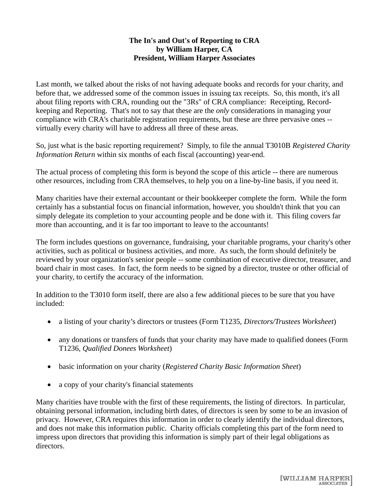## **The In's and Out's of Reporting to CRA by William Harper, CA President, William Harper Associates**

Last month, we talked about the risks of not having adequate books and records for your charity, and before that, we addressed some of the common issues in issuing tax receipts. So, this month, it's all about filing reports with CRA, rounding out the "3Rs" of CRA compliance: Receipting, Recordkeeping and Reporting. That's not to say that these are the *only* considerations in managing your compliance with CRA's charitable registration requirements, but these are three pervasive ones - virtually every charity will have to address all three of these areas.

So, just what is the basic reporting requirement? Simply, to file the annual T3010B *Registered Charity Information Return* within six months of each fiscal (accounting) year-end.

The actual process of completing this form is beyond the scope of this article -- there are numerous other resources, including from CRA themselves, to help you on a line-by-line basis, if you need it.

Many charities have their external accountant or their bookkeeper complete the form. While the form certainly has a substantial focus on financial information, however, you shouldn't think that you can simply delegate its completion to your accounting people and be done with it. This filing covers far more than accounting, and it is far too important to leave to the accountants!

The form includes questions on governance, fundraising, your charitable programs, your charity's other activities, such as political or business activities, and more. As such, the form should definitely be reviewed by your organization's senior people -- some combination of executive director, treasurer, and board chair in most cases. In fact, the form needs to be signed by a director, trustee or other official of your charity, to certify the accuracy of the information.

In addition to the T3010 form itself, there are also a few additional pieces to be sure that you have included:

- a listing of your charity's directors or trustees (Form T1235, *Directors/Trustees Worksheet*)
- any donations or transfers of funds that your charity may have made to qualified donees (Form T1236, *Qualified Donees Worksheet*)
- basic information on your charity (*Registered Charity Basic Information Sheet*)
- a copy of your charity's financial statements

Many charities have trouble with the first of these requirements, the listing of directors. In particular, obtaining personal information, including birth dates, of directors is seen by some to be an invasion of privacy. However, CRA requires this information in order to clearly identify the individual directors, and does not make this information public. Charity officials completing this part of the form need to impress upon directors that providing this information is simply part of their legal obligations as directors.